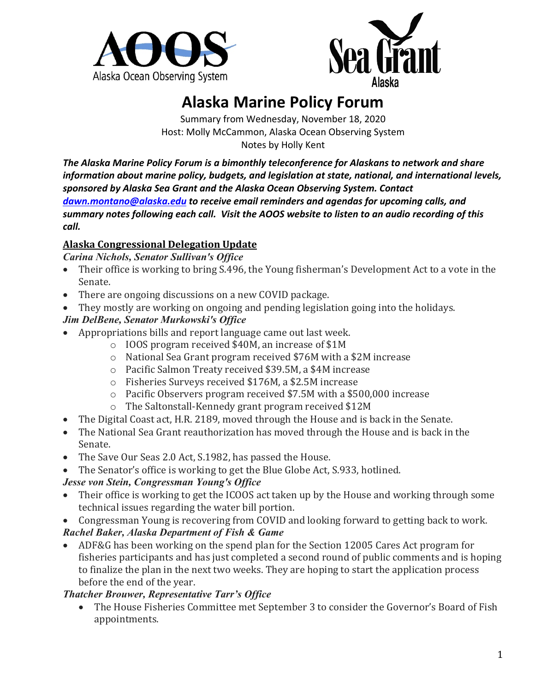



# **Alaska Marine Policy Forum**

Summary from Wednesday, November 18, 2020 Host: Molly McCammon, Alaska Ocean Observing System Notes by Holly Kent

*The Alaska Marine Policy Forum is a bimonthly teleconference for Alaskans to network and share information about marine policy, budgets, and legislation at state, national, and international levels, sponsored by Alaska Sea Grant and the Alaska Ocean Observing System. Contact [dawn.montano@alaska.edu](mailto:dawn.montano@alaska.edu) to receive email reminders and agendas for upcoming calls, and summary notes following each call. Visit the AOOS website to listen to an audio recording of this call.*

## **Alaska Congressional Delegation Update**

*Carina Nichols, Senator Sullivan's Office*

- Their office is working to bring S.496, the Young fisherman's Development Act to a vote in the Senate.
- There are ongoing discussions on a new COVID package.
- They mostly are working on ongoing and pending legislation going into the holidays.

## *Jim DelBene, Senator Murkowski's Office*

- Appropriations bills and report language came out last week.
	- o IOOS program received \$40M, an increase of \$1M
	- o National Sea Grant program received \$76M with a \$2M increase
	- o Pacific Salmon Treaty received \$39.5M, a \$4M increase
	- o Fisheries Surveys received \$176M, a \$2.5M increase
	- o Pacific Observers program received \$7.5M with a \$500,000 increase
	- o The Saltonstall-Kennedy grant program received \$12M
- The Digital Coast act, H.R. 2189, moved through the House and is back in the Senate.
- The National Sea Grant reauthorization has moved through the House and is back in the Senate.
- The Save Our Seas 2.0 Act, S.1982, has passed the House.
- The Senator's office is working to get the Blue Globe Act, S.933, hotlined.

## *Jesse von Stein, Congressman Young's Office*

- Their office is working to get the ICOOS act taken up by the House and working through some technical issues regarding the water bill portion.
- Congressman Young is recovering from COVID and looking forward to getting back to work.
- *Rachel Baker, Alaska Department of Fish & Game*
- ADF&G has been working on the spend plan for the Section 12005 Cares Act program for fisheries participants and has just completed a second round of public comments and is hoping to finalize the plan in the next two weeks. They are hoping to start the application process before the end of the year.

## *Thatcher Brouwer, Representative Tarr's Office*

• The House Fisheries Committee met September 3 to consider the Governor's Board of Fish appointments.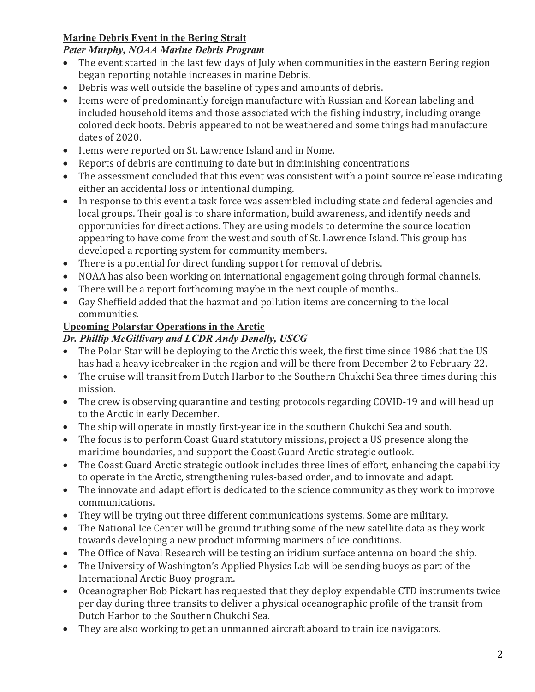# **Marine Debris Event in the Bering Strait**

#### *Peter Murphy, NOAA Marine Debris Program*

- The event started in the last few days of July when communities in the eastern Bering region began reporting notable increases in marine Debris.
- Debris was well outside the baseline of types and amounts of debris.
- Items were of predominantly foreign manufacture with Russian and Korean labeling and included household items and those associated with the fishing industry, including orange colored deck boots. Debris appeared to not be weathered and some things had manufacture dates of 2020.
- Items were reported on St. Lawrence Island and in Nome.
- Reports of debris are continuing to date but in diminishing concentrations
- The assessment concluded that this event was consistent with a point source release indicating either an accidental loss or intentional dumping.
- In response to this event a task force was assembled including state and federal agencies and local groups. Their goal is to share information, build awareness, and identify needs and opportunities for direct actions. They are using models to determine the source location appearing to have come from the west and south of St. Lawrence Island. This group has developed a reporting system for community members.
- There is a potential for direct funding support for removal of debris.
- NOAA has also been working on international engagement going through formal channels.
- There will be a report forthcoming maybe in the next couple of months..
- Gay Sheffield added that the hazmat and pollution items are concerning to the local communities.

# **Upcoming Polarstar Operations in the Arctic**

# *Dr. Phillip McGillivary and LCDR Andy Denelly, USCG*

- The Polar Star will be deploying to the Arctic this week, the first time since 1986 that the US has had a heavy icebreaker in the region and will be there from December 2 to February 22.
- The cruise will transit from Dutch Harbor to the Southern Chukchi Sea three times during this mission.
- The crew is observing quarantine and testing protocols regarding COVID-19 and will head up to the Arctic in early December.
- The ship will operate in mostly first-year ice in the southern Chukchi Sea and south.
- The focus is to perform Coast Guard statutory missions, project a US presence along the maritime boundaries, and support the Coast Guard Arctic strategic outlook.
- The Coast Guard Arctic strategic outlook includes three lines of effort, enhancing the capability to operate in the Arctic, strengthening rules-based order, and to innovate and adapt.
- The innovate and adapt effort is dedicated to the science community as they work to improve communications.
- They will be trying out three different communications systems. Some are military.
- The National Ice Center will be ground truthing some of the new satellite data as they work towards developing a new product informing mariners of ice conditions.
- The Office of Naval Research will be testing an iridium surface antenna on board the ship.
- The University of Washington's Applied Physics Lab will be sending buoys as part of the International Arctic Buoy program.
- Oceanographer Bob Pickart has requested that they deploy expendable CTD instruments twice per day during three transits to deliver a physical oceanographic profile of the transit from Dutch Harbor to the Southern Chukchi Sea.
- They are also working to get an unmanned aircraft aboard to train ice navigators.